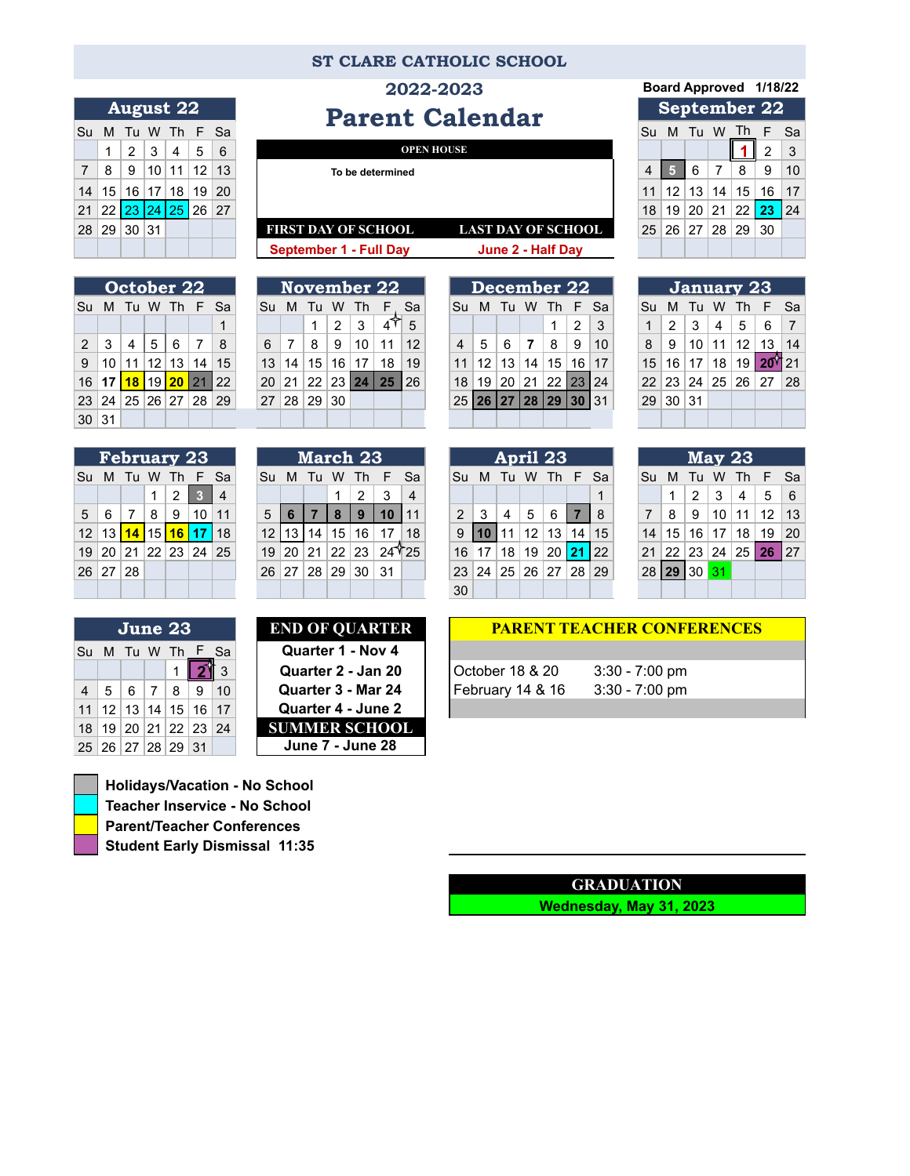## **ST CLARE CATHOLIC SCHOOL**

**Parent Calendar** 

|                | <b>August 22</b>      |  |  |                                        |  |  |  |  |  |  |  |  |  |  |
|----------------|-----------------------|--|--|----------------------------------------|--|--|--|--|--|--|--|--|--|--|
| Su             |                       |  |  | M Tu W Th F Sa                         |  |  |  |  |  |  |  |  |  |  |
|                |                       |  |  | $1 \mid 2 \mid 3 \mid 4 \mid 5 \mid 6$ |  |  |  |  |  |  |  |  |  |  |
| $\overline{7}$ | 8   9  10  11  12  13 |  |  |                                        |  |  |  |  |  |  |  |  |  |  |
|                | 14 15 16 17 18 19 20  |  |  |                                        |  |  |  |  |  |  |  |  |  |  |
|                | 21 22 23 24 25 26 27  |  |  |                                        |  |  |  |  |  |  |  |  |  |  |
|                | 28 29 30 31           |  |  |                                        |  |  |  |  |  |  |  |  |  |  |
|                |                       |  |  |                                        |  |  |  |  |  |  |  |  |  |  |

|               | October 22 |  |  |                                 |  |   |  |  |  |  |  |  |  |  |  |
|---------------|------------|--|--|---------------------------------|--|---|--|--|--|--|--|--|--|--|--|
| Su            |            |  |  | M Tu W Th F Sa                  |  |   |  |  |  |  |  |  |  |  |  |
|               |            |  |  |                                 |  | 1 |  |  |  |  |  |  |  |  |  |
|               |            |  |  | 2 3 4 5 6 7 8                   |  |   |  |  |  |  |  |  |  |  |  |
|               |            |  |  | 9   10   11   12   13   14   15 |  |   |  |  |  |  |  |  |  |  |  |
|               |            |  |  | 16 17 18 19 20 21 22            |  |   |  |  |  |  |  |  |  |  |  |
|               |            |  |  | 23 24 25 26 27 28 29            |  |   |  |  |  |  |  |  |  |  |  |
| $30 \vert 31$ |            |  |  |                                 |  |   |  |  |  |  |  |  |  |  |  |

|    | <b>February 23</b>   |  |  |                   |  |                |  |  |  |  |  |  |  |  |  |
|----|----------------------|--|--|-------------------|--|----------------|--|--|--|--|--|--|--|--|--|
| Su |                      |  |  | M Tu W Th F       |  | Sa             |  |  |  |  |  |  |  |  |  |
|    |                      |  |  | $1 \mid 2 \mid 3$ |  | $\overline{4}$ |  |  |  |  |  |  |  |  |  |
|    | 5 6 7 8 9 10 11      |  |  |                   |  |                |  |  |  |  |  |  |  |  |  |
|    | 12 13 14 15 16 17 18 |  |  |                   |  |                |  |  |  |  |  |  |  |  |  |
|    | 19 20 21 22 23 24 25 |  |  |                   |  |                |  |  |  |  |  |  |  |  |  |
|    | 26 27 28             |  |  |                   |  |                |  |  |  |  |  |  |  |  |  |
|    |                      |  |  |                   |  |                |  |  |  |  |  |  |  |  |  |

|                 | <b>February 23</b> |           |                 |    |                 |           | March 23 |    |    |    |    |                    | April 23       |                |    |    |                 |     | $\sqrt{May} 23$ |                  |    |    |               |    |                 |                 |                 |
|-----------------|--------------------|-----------|-----------------|----|-----------------|-----------|----------|----|----|----|----|--------------------|----------------|----------------|----|----|-----------------|-----|-----------------|------------------|----|----|---------------|----|-----------------|-----------------|-----------------|
| Su              | M                  | Tu        | W               |    | E               | <b>Sa</b> | Su       | M  | Ш  | w  | 1h | <b>F</b>           | Sa             | Su             | M  | Tu | W               | Ih. | F               | <b>Sa</b>        | Su | M  | $\mathbf{H}$  | w  | 1h              | F.              | - Sa            |
|                 |                    |           |                 | 2  | æ.              |           |          |    |    |    | 2  | 3                  | $\overline{a}$ |                |    |    |                 |     |                 |                  |    |    | $\mathcal{P}$ | 3  | 4               | 5               | - 6             |
| 5 <sup>1</sup>  | 6                  |           | 8               | 9  | 10 <sup>1</sup> | 11        | 5        |    |    |    | 9  |                    |                | $\overline{2}$ |    | 4  | 5               | 6   |                 | -8               |    | 8  | 9             | 10 | 11              | 12 <sub>1</sub> | $\vert$ 13      |
| 12 <sub>1</sub> | 13                 | <b>14</b> | 15 <sup>1</sup> | 16 |                 | 18        |          |    | 14 | 15 | 16 |                    | 18             | 9              |    |    | 12 <sup>°</sup> | 13  | 14              | 15               | 14 | 15 | 16            | 17 | 18              | 19              | 20              |
|                 | 19 20              | 21        | 22              | 23 | 24 25           |           | 19       | 20 | 21 | 22 | 23 | 24 <sup>T</sup> 25 |                | 16             | 17 | 18 | 19              | 20  | 21              | $\overline{122}$ | 21 | 22 | ՝ 23 լ        | 24 | 25 <sub>1</sub> | 26              | $\overline{27}$ |
|                 | 26 27              | 28        |                 |    |                 |           | 26       | 27 | 28 | 29 | 30 | 31                 |                | 23             | 24 | 25 | 26 <sup>1</sup> | 27  | 28 <sup>1</sup> | 29               | 28 | 29 | 30            |    |                 |                 |                 |
|                 |                    |           |                 |    |                 |           |          |    |    |    |    |                    |                | 30             |    |    |                 |     |                 |                  |    |    |               |    |                 |                 |                 |

| 6 <sup>1</sup>  |                 | 8                 | -9      | 10 <sup>1</sup>   | 11                  | 12   |  |                 | 5 | 6    | 8                             | 9      | 10 |
|-----------------|-----------------|-------------------|---------|-------------------|---------------------|------|--|-----------------|---|------|-------------------------------|--------|----|
| 13 <sup>1</sup> |                 |                   |         | 14   15   16   17 | 18                  | 19   |  | 11 <sup>1</sup> |   |      | $12$   13   14   15   16   17 |        |    |
|                 |                 |                   |         |                   | $20$ 21 22 23 24 25 | l 26 |  | 18              |   |      | 19 20 21 22 23 24             |        |    |
|                 |                 | 27   28   29   30 |         |                   |                     |      |  |                 |   |      | 25 26 27 28 29 30 31          |        |    |
|                 |                 |                   |         |                   |                     |      |  |                 |   |      |                               |        |    |
|                 |                 |                   |         |                   |                     |      |  |                 |   |      |                               |        |    |
|                 | <b>March 23</b> |                   |         |                   |                     |      |  |                 |   |      | April 23                      |        |    |
| $S_{II}$        | M               |                   | Tu W Th |                   | - F Sa              |      |  | Su              | M | Tu W | - Th                          | - F Sa |    |

| April 23 |  |  |  |                       |  |   |  |  |  |  |  |  |  |
|----------|--|--|--|-----------------------|--|---|--|--|--|--|--|--|--|
| Su       |  |  |  | M Tu W Th F Sa        |  |   |  |  |  |  |  |  |  |
|          |  |  |  |                       |  | 1 |  |  |  |  |  |  |  |
|          |  |  |  | 2 3 4 5 6 7 8         |  |   |  |  |  |  |  |  |  |
|          |  |  |  | $9$ 10 11 12 13 14 15 |  |   |  |  |  |  |  |  |  |
|          |  |  |  | 16 17 18 19 20 21 22  |  |   |  |  |  |  |  |  |  |
|          |  |  |  | 23 24 25 26 27 28 29  |  |   |  |  |  |  |  |  |  |
| 30       |  |  |  |                       |  |   |  |  |  |  |  |  |  |

|                |             | <b>May 23</b>     |                      |    |
|----------------|-------------|-------------------|----------------------|----|
| Su             | м           | Tu W Th           | F                    | Sa |
|                | 1           | $2 \mid 3 \mid 4$ | $\vert 5 \vert$      | 6  |
| $\overline{7}$ | 8           |                   | │ 9 │10 │11 │12 │13  |    |
|                |             |                   | 14 15 16 17 18 19 20 |    |
|                |             |                   | 21 22 23 24 25 26 27 |    |
|                | 28 29 30 31 |                   |                      |    |
|                |             |                   |                      |    |

| <b>END OF QUARTEI</b>   |    | June 23 |                |                                    |  |
|-------------------------|----|---------|----------------|------------------------------------|--|
| Quarter 1 - Nov 4       |    |         |                | Su M Tu W Th F Sa                  |  |
| Quarter 2 - Jan 20      | 3  |         |                |                                    |  |
| Quarter 3 - Mar 24      | 10 | 7   8   | 6 <sup>1</sup> | 5 <sup>1</sup>                     |  |
| Quarter 4 - June 2      |    |         |                | $11$   12   13   14   15   16   17 |  |
| <b>SUMMER SCHOOL</b>    |    |         |                | 18   19   20   21   22   23   24   |  |
| <b>June 7 - June 28</b> |    |         |                | 25 26 27 28 29 31                  |  |

| <b>END OF QUARTER</b>   |      |                      | June 23 |       |             |                 |
|-------------------------|------|----------------------|---------|-------|-------------|-----------------|
| Quarter 1 - Nov 4       | - Sa |                      |         |       | M Tu W Th F | Su              |
| Quarter 2 - Jan 20      |      |                      |         |       |             |                 |
| Quarter 3 - Mar 24      | 10   |                      | 8       | 6     | 5.          | $\overline{4}$  |
| Quarter 4 - June 2      |      | $12$  13 14 15 16 17 |         |       |             | 11 <sup>1</sup> |
| <b>SUMMER SCHOOL</b>    |      | 20 21 22 23 24       |         |       | 19          | 18              |
| <b>June 7 - June 28</b> |      | 31                   | 129     | 27 28 | <b>26</b>   | 25              |

| <b>Holidays/Vacation - No School</b> |  |  |  |  |  |  |  |  |
|--------------------------------------|--|--|--|--|--|--|--|--|
| <b>Teacher Inservice - No School</b> |  |  |  |  |  |  |  |  |
| <b>Parent/Teacher Conferences</b>    |  |  |  |  |  |  |  |  |
| <b>Student Early Dismissal 11:35</b> |  |  |  |  |  |  |  |  |

| <b>OUARTER</b> | <b>PARE</b>  |
|----------------|--------------|
| 1 - Nov 4      |              |
| 2 - Jan 20     | October 18 8 |
| 3 - Mar 24     | February 14  |
| 4 - June 2     |              |
|                |              |

## **NT TEACHER CONFERENCES**

1 **2** 3 **Quarter 2 - Jan 20** October 18 & 20 3:30 - 7:00 pm 3:30 - 7:00 pm

## **GRADUATION**

**Wednesday, May 31, 2023**

## **2022-2023 Board Approved 1/18/22**

|                |              | ______ |                 |          |           |              | Parent Calendar                                         |    |                 |       |    |       |    |                 |
|----------------|--------------|--------|-----------------|----------|-----------|--------------|---------------------------------------------------------|----|-----------------|-------|----|-------|----|-----------------|
| Su             | M            | Tu     |                 |          | W Th F Sa |              |                                                         | Su | м               | Tu    | W  | Th    | F. | Sa              |
|                |              | 2      | 3               | 4        | 5         | 6            | <b>OPEN HOUSE</b>                                       |    |                 |       |    |       |    | 3               |
| 7 <sup>1</sup> | 8            | 9      | 10 <sup>1</sup> | 11       | 12        | 13           | To be determined                                        | 4  |                 | 6     |    | 8     | 9  | 10 <sup>°</sup> |
|                | 14 15        | 16     | 17 <sup>1</sup> | 18       | 19        | $ 20\rangle$ |                                                         |    | 12              | 13    | 14 | 15    | 16 | 17              |
|                | $21 \,   22$ |        |                 | 23 24 25 | 26 27     |              |                                                         | 18 | 19              | 20 21 |    | 22 23 |    | 24              |
|                | 28 29        | 30     | 31              |          |           |              | <b>LAST DAY OF SCHOOL</b><br><b>FIRST DAY OF SCHOOL</b> | 25 | 26 <sup>1</sup> | 27    | 28 | 29 30 |    |                 |
|                |              |        |                 |          |           |              | <b>September 1 - Full Day</b><br>June 2 - Half Day      |    |                 |       |    |       |    |                 |

| October 22     |       |    |                 |      |     |    |  | November 22 |    |    |       |    |    |    |  | December 22    |      |    |            |    |                |     |  | <b>January 23</b> |    |    |    |                 |            |    |
|----------------|-------|----|-----------------|------|-----|----|--|-------------|----|----|-------|----|----|----|--|----------------|------|----|------------|----|----------------|-----|--|-------------------|----|----|----|-----------------|------------|----|
| Su             | M     | Tu | W               | - Th | F   | Sa |  | Su          | M  | Тu | W     | Th |    | Sa |  | Su             | M    | Tu | W          | Th | F              | Sa  |  | Su                | M  | Tu | w  | Th              | E Sa       |    |
|                |       |    |                 |      |     |    |  |             |    |    | 2     | 3  |    | 5  |  |                |      |    |            |    | $\overline{2}$ | 3   |  |                   | 2  | 3  | 4  | 5               | 6          |    |
| 2 <sup>1</sup> | 3     | 4  | 5               | 6    |     | 8  |  | 6           |    | 8  | 9     | 10 | 11 | 12 |  | $\overline{4}$ | 5    | 6  |            | 8  | 9              | 10  |  | 8                 | 9  | 10 | 11 | 12 <sup>2</sup> | 13         | 14 |
| 9              | 10    |    | 12 <sub>1</sub> | 13   | 14  | 15 |  | 13          | 14 | 15 | 16    | 17 | 18 | 19 |  | 11             | 12   | 13 | 14         | 15 | 16 l           | 17  |  | 15                | 16 | 17 | 18 | 19 I            | $20^{121}$ |    |
| 16             |       | 18 | 19 I            | 20   | -21 | 22 |  | 20          | 21 | 22 | 23 24 |    | 25 | 26 |  | 18             | 19   | 20 | 21         | 22 | 23             | 124 |  | 22                | 23 | 24 | 25 | 26 <sup>1</sup> | 27         | 28 |
|                | 23 24 | 25 | 26              | 27   | 28  | 29 |  | 27          | 28 | 29 | 30    |    |    |    |  | 25             | l 26 | 27 | <b>128</b> | 29 | 30             |     |  | 29                | 30 | 31 |    |                 |            |    |
|                | 30 31 |    |                 |      |     |    |  |             |    |    |       |    |    |    |  |                |      |    |            |    |                |     |  |                   |    |    |    |                 |            |    |